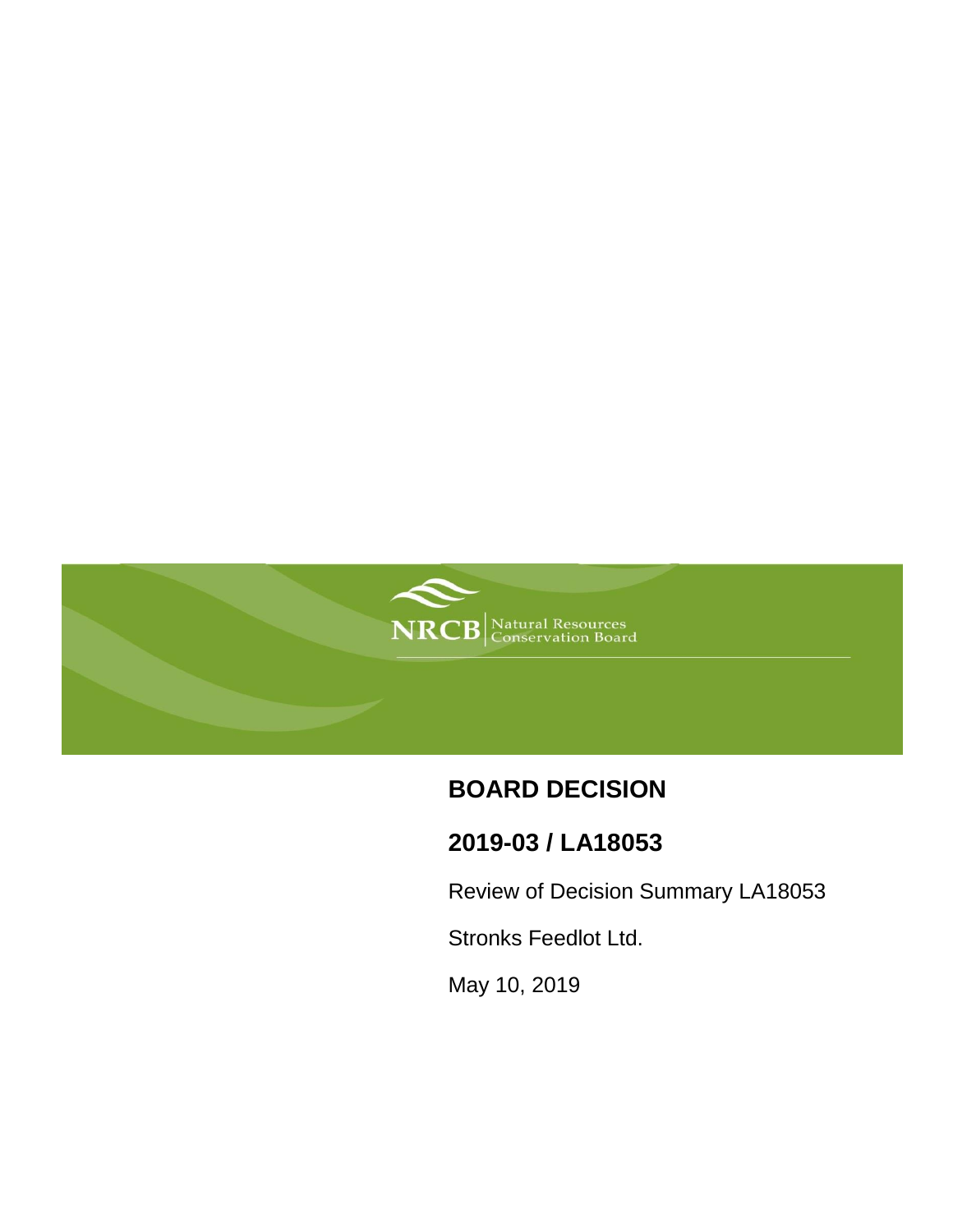

# **BOARD DECISION**

## **2019-03 / LA18053**

Review of Decision Summary LA18053

Stronks Feedlot Ltd.

May 10, 2019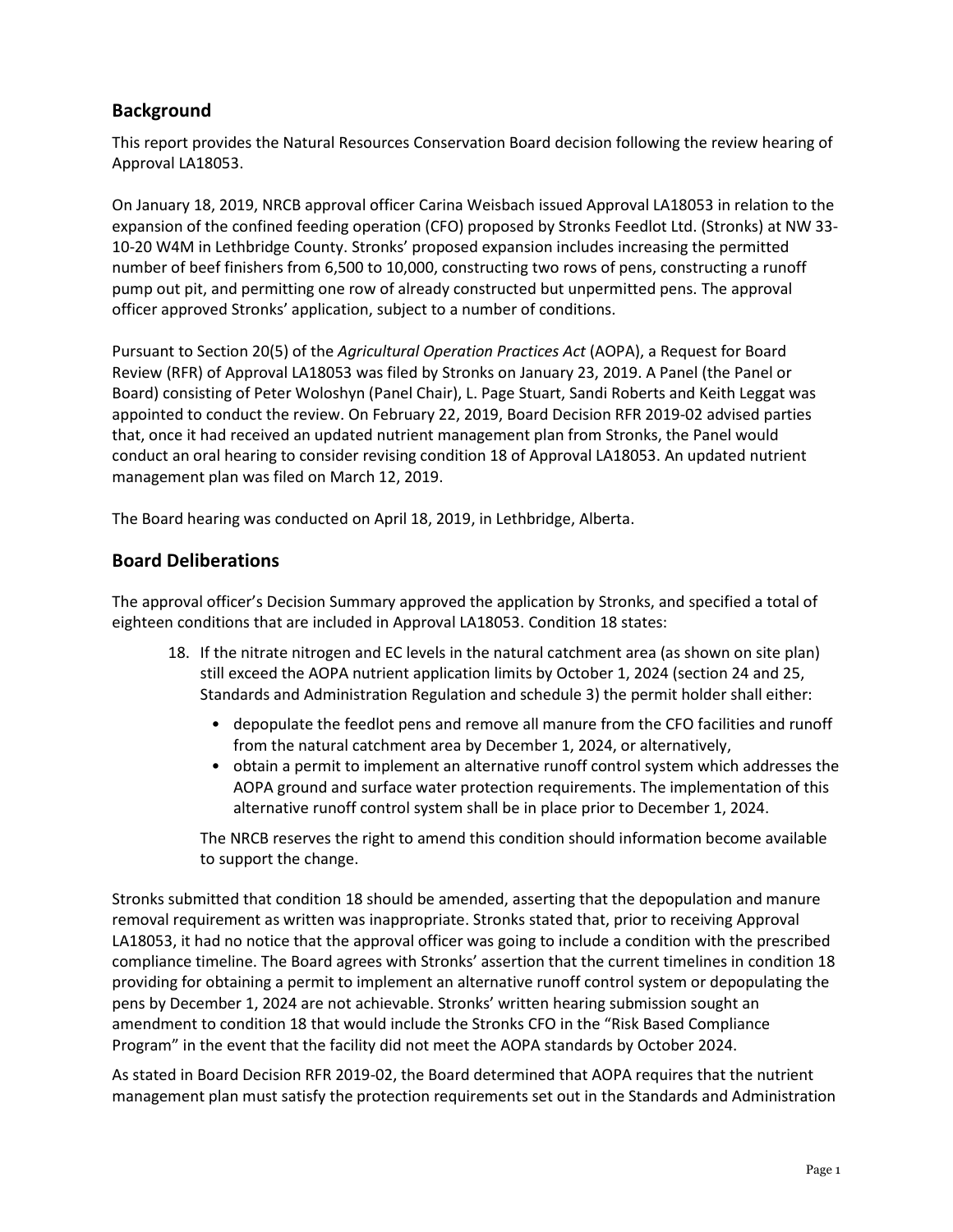## **Background**

This report provides the Natural Resources Conservation Board decision following the review hearing of Approval LA18053.

On January 18, 2019, NRCB approval officer Carina Weisbach issued Approval LA18053 in relation to the expansion of the confined feeding operation (CFO) proposed by Stronks Feedlot Ltd. (Stronks) at NW 33- 10-20 W4M in Lethbridge County. Stronks' proposed expansion includes increasing the permitted number of beef finishers from 6,500 to 10,000, constructing two rows of pens, constructing a runoff pump out pit, and permitting one row of already constructed but unpermitted pens. The approval officer approved Stronks' application, subject to a number of conditions.

Pursuant to Section 20(5) of the *Agricultural Operation Practices Act* (AOPA), a Request for Board Review (RFR) of Approval LA18053 was filed by Stronks on January 23, 2019. A Panel (the Panel or Board) consisting of Peter Woloshyn (Panel Chair), L. Page Stuart, Sandi Roberts and Keith Leggat was appointed to conduct the review. On February 22, 2019, Board Decision RFR 2019-02 advised parties that, once it had received an updated nutrient management plan from Stronks, the Panel would conduct an oral hearing to consider revising condition 18 of Approval LA18053. An updated nutrient management plan was filed on March 12, 2019.

The Board hearing was conducted on April 18, 2019, in Lethbridge, Alberta.

## **Board Deliberations**

The approval officer's Decision Summary approved the application by Stronks, and specified a total of eighteen conditions that are included in Approval LA18053. Condition 18 states:

- 18. If the nitrate nitrogen and EC levels in the natural catchment area (as shown on site plan) still exceed the AOPA nutrient application limits by October 1, 2024 (section 24 and 25, Standards and Administration Regulation and schedule 3) the permit holder shall either:
	- depopulate the feedlot pens and remove all manure from the CFO facilities and runoff from the natural catchment area by December 1, 2024, or alternatively,
	- obtain a permit to implement an alternative runoff control system which addresses the AOPA ground and surface water protection requirements. The implementation of this alternative runoff control system shall be in place prior to December 1, 2024.

The NRCB reserves the right to amend this condition should information become available to support the change.

Stronks submitted that condition 18 should be amended, asserting that the depopulation and manure removal requirement as written was inappropriate. Stronks stated that, prior to receiving Approval LA18053, it had no notice that the approval officer was going to include a condition with the prescribed compliance timeline. The Board agrees with Stronks' assertion that the current timelines in condition 18 providing for obtaining a permit to implement an alternative runoff control system or depopulating the pens by December 1, 2024 are not achievable. Stronks' written hearing submission sought an amendment to condition 18 that would include the Stronks CFO in the "Risk Based Compliance Program" in the event that the facility did not meet the AOPA standards by October 2024.

As stated in Board Decision RFR 2019-02, the Board determined that AOPA requires that the nutrient management plan must satisfy the protection requirements set out in the Standards and Administration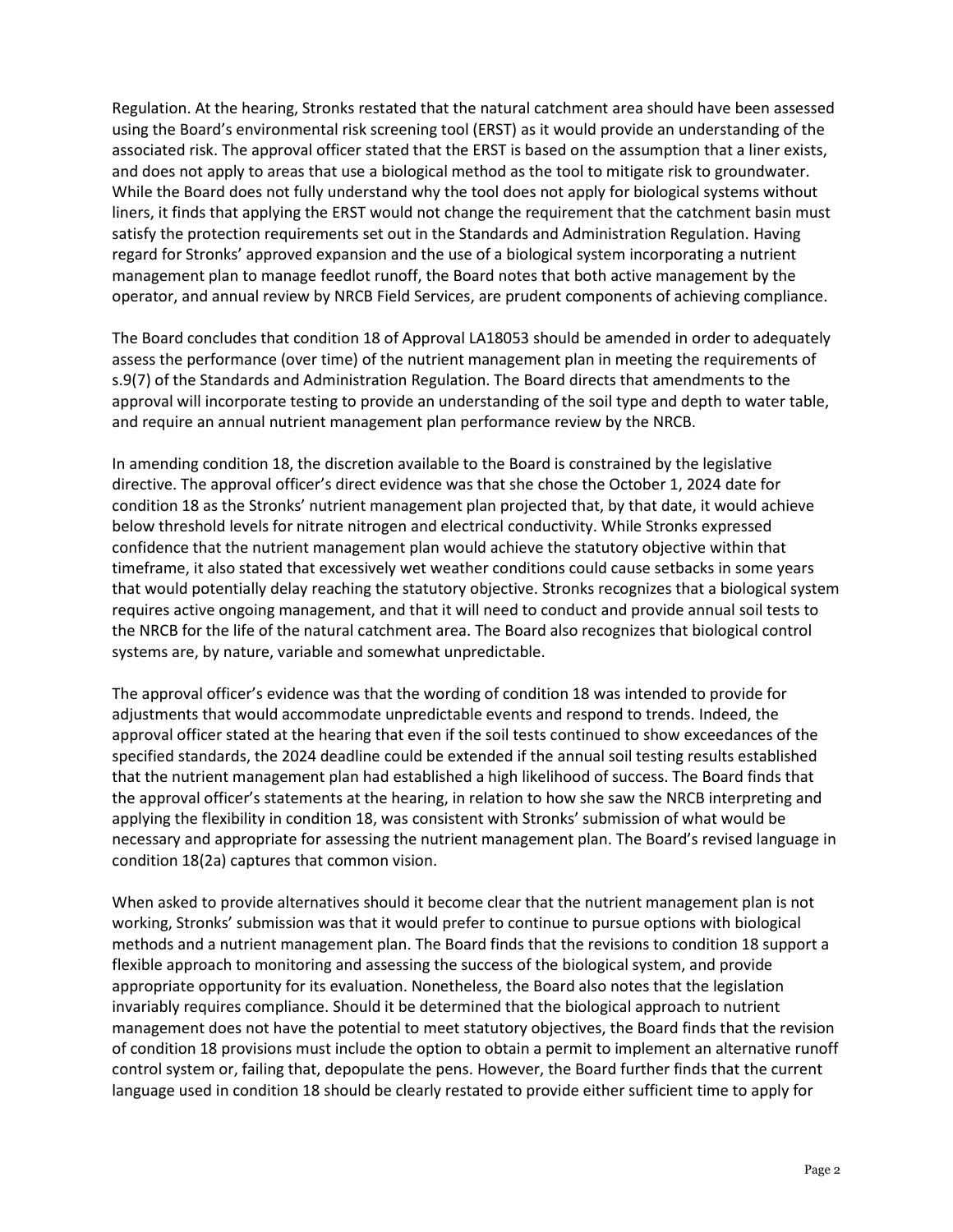Regulation. At the hearing, Stronks restated that the natural catchment area should have been assessed using the Board's environmental risk screening tool (ERST) as it would provide an understanding of the associated risk. The approval officer stated that the ERST is based on the assumption that a liner exists, and does not apply to areas that use a biological method as the tool to mitigate risk to groundwater. While the Board does not fully understand why the tool does not apply for biological systems without liners, it finds that applying the ERST would not change the requirement that the catchment basin must satisfy the protection requirements set out in the Standards and Administration Regulation. Having regard for Stronks' approved expansion and the use of a biological system incorporating a nutrient management plan to manage feedlot runoff, the Board notes that both active management by the operator, and annual review by NRCB Field Services, are prudent components of achieving compliance.

The Board concludes that condition 18 of Approval LA18053 should be amended in order to adequately assess the performance (over time) of the nutrient management plan in meeting the requirements of s.9(7) of the Standards and Administration Regulation. The Board directs that amendments to the approval will incorporate testing to provide an understanding of the soil type and depth to water table, and require an annual nutrient management plan performance review by the NRCB.

In amending condition 18, the discretion available to the Board is constrained by the legislative directive. The approval officer's direct evidence was that she chose the October 1, 2024 date for condition 18 as the Stronks' nutrient management plan projected that, by that date, it would achieve below threshold levels for nitrate nitrogen and electrical conductivity. While Stronks expressed confidence that the nutrient management plan would achieve the statutory objective within that timeframe, it also stated that excessively wet weather conditions could cause setbacks in some years that would potentially delay reaching the statutory objective. Stronks recognizes that a biological system requires active ongoing management, and that it will need to conduct and provide annual soil tests to the NRCB for the life of the natural catchment area. The Board also recognizes that biological control systems are, by nature, variable and somewhat unpredictable.

The approval officer's evidence was that the wording of condition 18 was intended to provide for adjustments that would accommodate unpredictable events and respond to trends. Indeed, the approval officer stated at the hearing that even if the soil tests continued to show exceedances of the specified standards, the 2024 deadline could be extended if the annual soil testing results established that the nutrient management plan had established a high likelihood of success. The Board finds that the approval officer's statements at the hearing, in relation to how she saw the NRCB interpreting and applying the flexibility in condition 18, was consistent with Stronks' submission of what would be necessary and appropriate for assessing the nutrient management plan. The Board's revised language in condition 18(2a) captures that common vision.

When asked to provide alternatives should it become clear that the nutrient management plan is not working, Stronks' submission was that it would prefer to continue to pursue options with biological methods and a nutrient management plan. The Board finds that the revisions to condition 18 support a flexible approach to monitoring and assessing the success of the biological system, and provide appropriate opportunity for its evaluation. Nonetheless, the Board also notes that the legislation invariably requires compliance. Should it be determined that the biological approach to nutrient management does not have the potential to meet statutory objectives, the Board finds that the revision of condition 18 provisions must include the option to obtain a permit to implement an alternative runoff control system or, failing that, depopulate the pens. However, the Board further finds that the current language used in condition 18 should be clearly restated to provide either sufficient time to apply for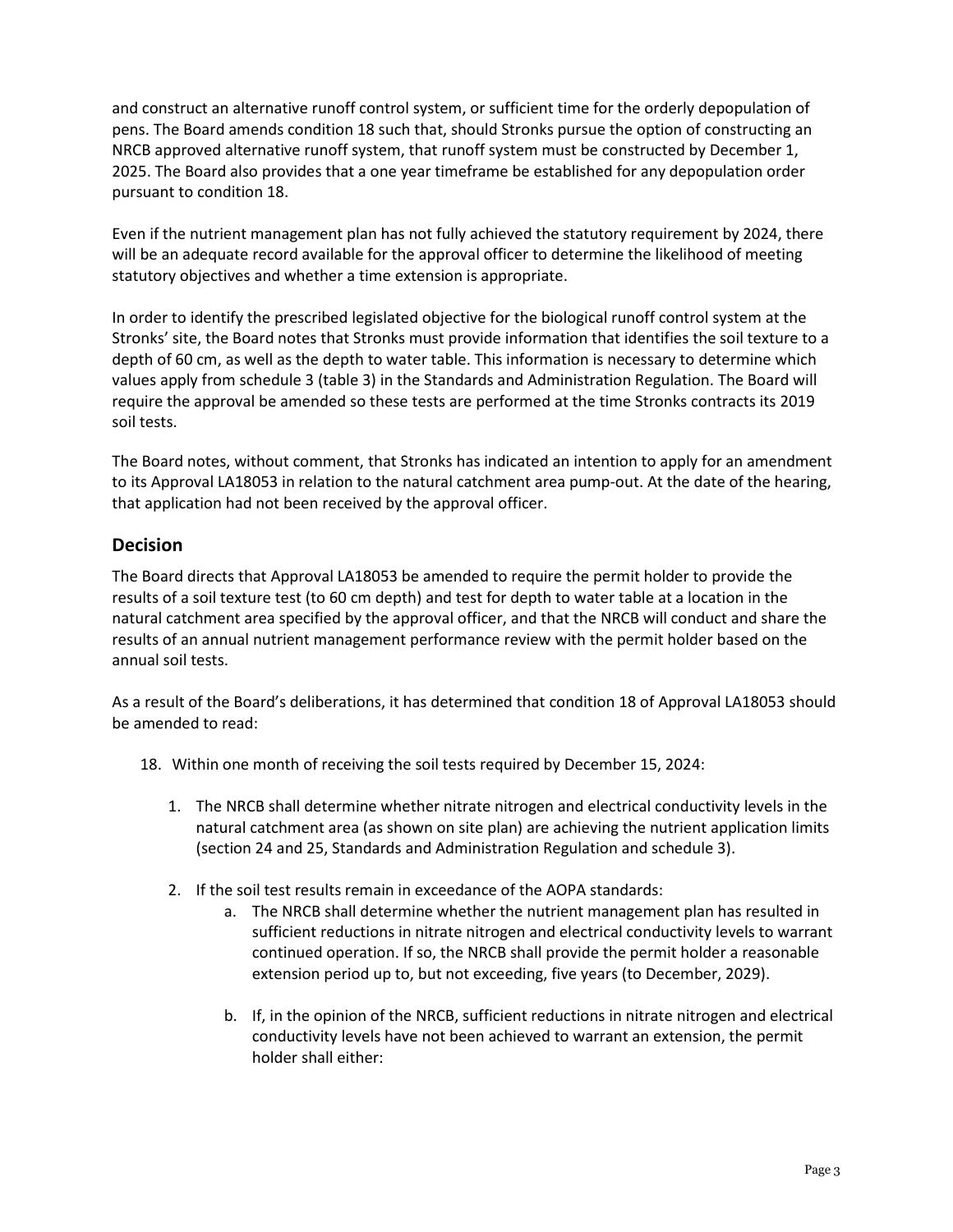and construct an alternative runoff control system, or sufficient time for the orderly depopulation of pens. The Board amends condition 18 such that, should Stronks pursue the option of constructing an NRCB approved alternative runoff system, that runoff system must be constructed by December 1, 2025. The Board also provides that a one year timeframe be established for any depopulation order pursuant to condition 18.

Even if the nutrient management plan has not fully achieved the statutory requirement by 2024, there will be an adequate record available for the approval officer to determine the likelihood of meeting statutory objectives and whether a time extension is appropriate.

In order to identify the prescribed legislated objective for the biological runoff control system at the Stronks' site, the Board notes that Stronks must provide information that identifies the soil texture to a depth of 60 cm, as well as the depth to water table. This information is necessary to determine which values apply from schedule 3 (table 3) in the Standards and Administration Regulation. The Board will require the approval be amended so these tests are performed at the time Stronks contracts its 2019 soil tests.

The Board notes, without comment, that Stronks has indicated an intention to apply for an amendment to its Approval LA18053 in relation to the natural catchment area pump-out. At the date of the hearing, that application had not been received by the approval officer.

### **Decision**

The Board directs that Approval LA18053 be amended to require the permit holder to provide the results of a soil texture test (to 60 cm depth) and test for depth to water table at a location in the natural catchment area specified by the approval officer, and that the NRCB will conduct and share the results of an annual nutrient management performance review with the permit holder based on the annual soil tests.

As a result of the Board's deliberations, it has determined that condition 18 of Approval LA18053 should be amended to read:

- 18. Within one month of receiving the soil tests required by December 15, 2024:
	- 1. The NRCB shall determine whether nitrate nitrogen and electrical conductivity levels in the natural catchment area (as shown on site plan) are achieving the nutrient application limits (section 24 and 25, Standards and Administration Regulation and schedule 3).
	- 2. If the soil test results remain in exceedance of the AOPA standards:
		- a. The NRCB shall determine whether the nutrient management plan has resulted in sufficient reductions in nitrate nitrogen and electrical conductivity levels to warrant continued operation. If so, the NRCB shall provide the permit holder a reasonable extension period up to, but not exceeding, five years (to December, 2029).
		- b. If, in the opinion of the NRCB, sufficient reductions in nitrate nitrogen and electrical conductivity levels have not been achieved to warrant an extension, the permit holder shall either: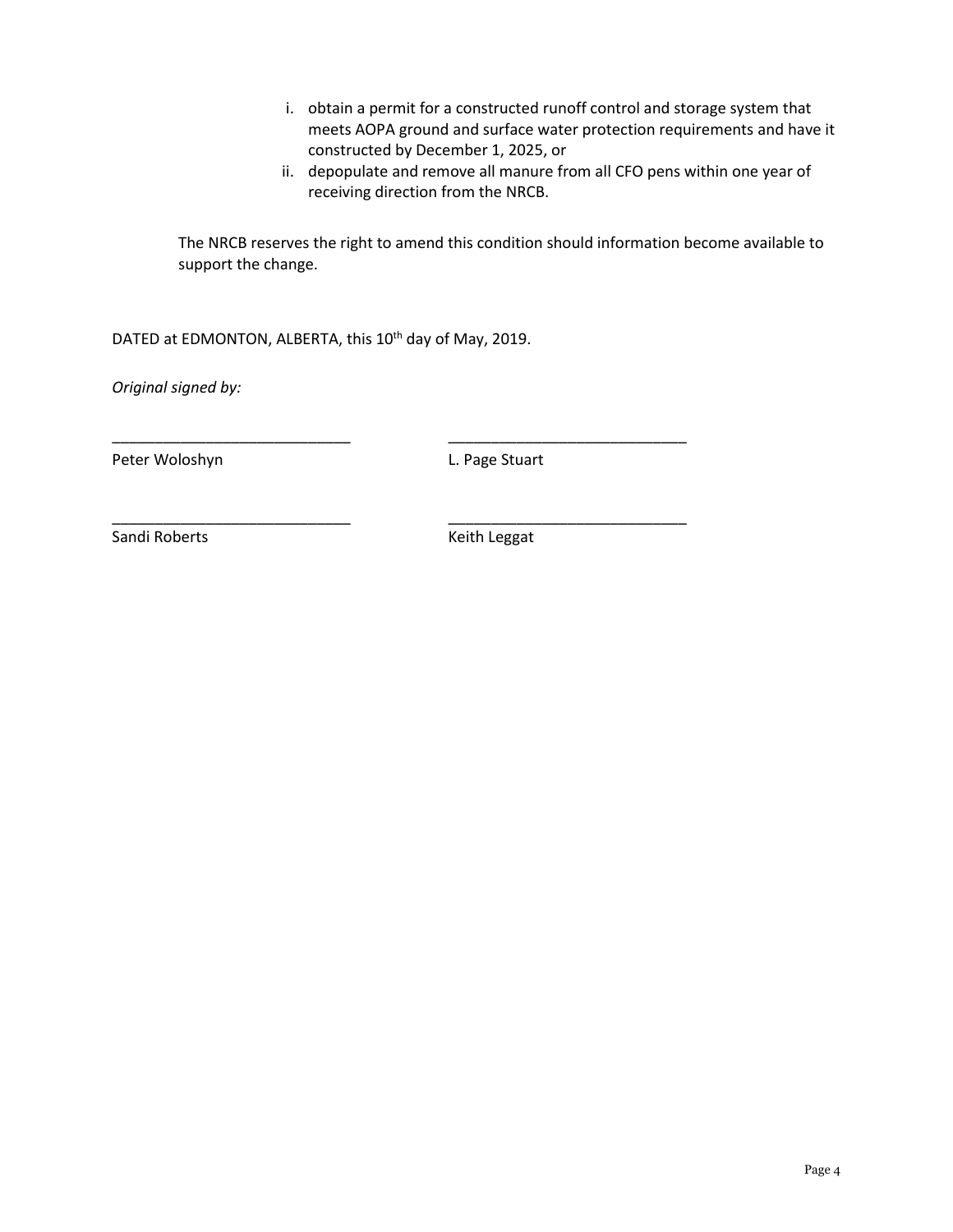- i. obtain a permit for a constructed runoff control and storage system that meets AOPA ground and surface water protection requirements and have it constructed by December 1, 2025, or
- ii. depopulate and remove all manure from all CFO pens within one year of receiving direction from the NRCB.

The NRCB reserves the right to amend this condition should information become available to support the change.

DATED at EDMONTON, ALBERTA, this 10<sup>th</sup> day of May, 2019.

\_\_\_\_\_\_\_\_\_\_\_\_\_\_\_\_\_\_\_\_\_\_\_\_\_\_\_\_ \_\_\_\_\_\_\_\_\_\_\_\_\_\_\_\_\_\_\_\_\_\_\_\_\_\_\_\_

\_\_\_\_\_\_\_\_\_\_\_\_\_\_\_\_\_\_\_\_\_\_\_\_\_\_\_\_ \_\_\_\_\_\_\_\_\_\_\_\_\_\_\_\_\_\_\_\_\_\_\_\_\_\_\_\_

*Original signed by:*

Peter Woloshyn **L. Page Stuart** 

Sandi Roberts **Keith Leggat** Keith Leggat